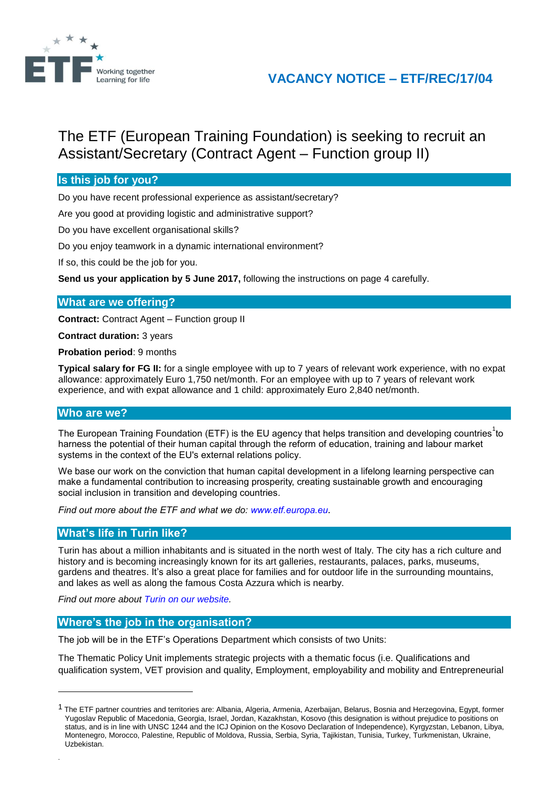

## **VACANCY NOTICE – ETF/REC/17/04**

# The ETF (European Training Foundation) is seeking to recruit an Assistant/Secretary (Contract Agent – Function group II)

## **Is this job for you?**

Do you have recent professional experience as assistant/secretary?

Are you good at providing logistic and administrative support?

Do you have excellent organisational skills?

Do you enjoy teamwork in a dynamic international environment?

If so, this could be the job for you.

**Send us your application by 5 June 2017,** following the instructions on page 4 carefully.

#### **What are we offering?**

**Contract:** Contract Agent – Function group II

**Contract duration:** 3 years

**Probation period**: 9 months

**Typical salary for FG II:** for a single employee with up to 7 years of relevant work experience, with no expat allowance: approximately Euro 1,750 net/month. For an employee with up to 7 years of relevant work experience, and with expat allowance and 1 child: approximately Euro 2,840 net/month.

## **Who are we?**

l

.

The European Training Foundation (ETF) is the EU agency that helps transition and developing countries<sup>1</sup>to harness the potential of their human capital through the reform of education, training and labour market systems in the context of the EU's external relations policy.

We base our work on the conviction that human capital development in a lifelong learning perspective can make a fundamental contribution to increasing prosperity, creating sustainable growth and encouraging social inclusion in transition and developing countries.

*Find out more about the ETF and what we do: [www.etf.europa.eu](http://www.etf.europa.eu/).*

#### **What's life in Turin like?**

Turin has about a million inhabitants and is situated in the north west of Italy. The city has a rich culture and history and is becoming increasingly known for its art galleries, restaurants, palaces, parks, museums, gardens and theatres. It's also a great place for families and for outdoor life in the surrounding mountains, and lakes as well as along the famous Costa Azzura which is nearby.

*Find out more about [Turin on our website.](http://www.etf.europa.eu/web.nsf/pages/Hows_life_in_Turin_EN)*

#### **Where's the job in the organisation?**

The job will be in the ETF's Operations Department which consists of two Units:

The Thematic Policy Unit implements strategic projects with a thematic focus (i.e. Qualifications and qualification system, VET provision and quality, Employment, employability and mobility and Entrepreneurial

<sup>&</sup>lt;sup>1</sup> The ETF partner countries and territories are: Albania, Algeria, Armenia, Azerbaijan, Belarus, Bosnia and Herzegovina, Egypt, former Yugoslav Republic of Macedonia, Georgia, Israel, Jordan, Kazakhstan, Kosovo (this designation is without prejudice to positions on status, and is in line with UNSC 1244 and the ICJ Opinion on the Kosovo Declaration of Independence), Kyrgyzstan, Lebanon, Libya, Montenegro, Morocco, Palestine, Republic of Moldova, Russia, Serbia, Syria, Tajikistan, Tunisia, Turkey, Turkmenistan, Ukraine, Uzbekistan.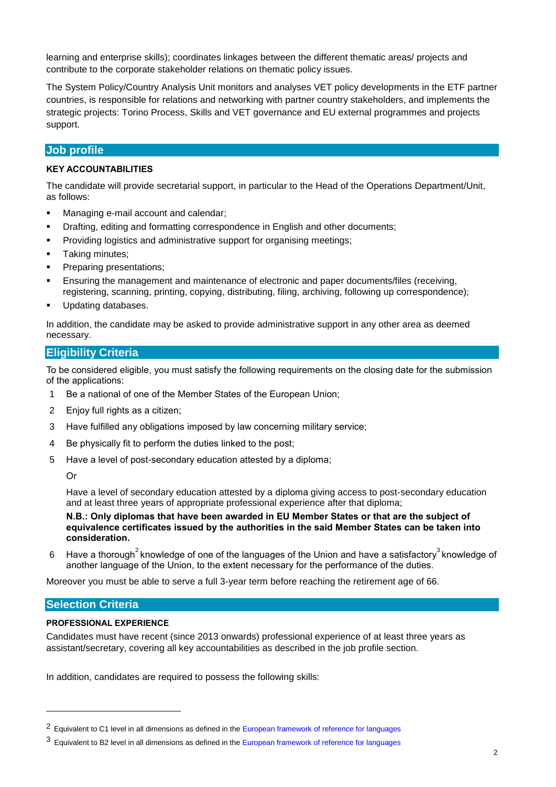learning and enterprise skills); coordinates linkages between the different thematic areas/ projects and contribute to the corporate stakeholder relations on thematic policy issues.

The System Policy/Country Analysis Unit monitors and analyses VET policy developments in the ETF partner countries, is responsible for relations and networking with partner country stakeholders, and implements the strategic projects: Torino Process, Skills and VET governance and EU external programmes and projects support.

## **Job profile**

#### **KEY ACCOUNTABILITIES**

The candidate will provide secretarial support, in particular to the Head of the Operations Department/Unit, as follows:

- **Managing e-mail account and calendar;**
- **•** Drafting, editing and formatting correspondence in English and other documents;
- **Providing logistics and administrative support for organising meetings;**
- **Taking minutes;**
- Preparing presentations;
- Ensuring the management and maintenance of electronic and paper documents/files (receiving, registering, scanning, printing, copying, distributing, filing, archiving, following up correspondence);
- Updating databases.

In addition, the candidate may be asked to provide administrative support in any other area as deemed necessary.

#### **Eligibility Criteria**

To be considered eligible, you must satisfy the following requirements on the closing date for the submission of the applications:

- 1 Be a national of one of the Member States of the European Union;
- 2 Enjoy full rights as a citizen:
- 3 Have fulfilled any obligations imposed by law concerning military service;
- 4 Be physically fit to perform the duties linked to the post;
- 5 Have a level of post-secondary education attested by a diploma;

Or

Have a level of secondary education attested by a diploma giving access to post-secondary education and at least three years of appropriate professional experience after that diploma;

**N.B.: Only diplomas that have been awarded in EU Member States or that are the subject of equivalence certificates issued by the authorities in the said Member States can be taken into consideration.**

6 Have a thorough<sup>2</sup> knowledge of one of the languages of the Union and have a satisfactory<sup>3</sup> knowledge of another language of the Union, to the extent necessary for the performance of the duties.

Moreover you must be able to serve a full 3-year term before reaching the retirement age of 66.

#### **Selection Criteria**

 $\overline{a}$ 

#### **PROFESSIONAL EXPERIENCE**

Candidates must have recent (since 2013 onwards) professional experience of at least three years as assistant/secretary, covering all key accountabilities as described in the job profile section.

In addition, candidates are required to possess the following skills:

<sup>&</sup>lt;sup>2</sup> Equivalent to C1 level in all dimensions as defined in th[e European framework of reference for languages](http://europass.cedefop.europa.eu/en/resources/european-language-levels-cefr?loc=en_EN)

<sup>&</sup>lt;sup>3</sup> Equivalent to B2 level in all dimensions as defined in th[e European framework of reference for languages](http://europass.cedefop.europa.eu/en/resources/european-language-levels-cefr?loc=en_EN)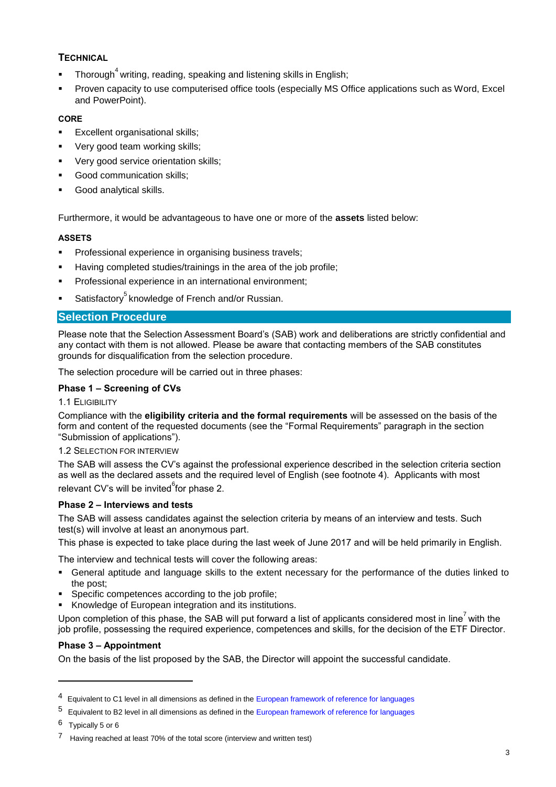## **TECHNICAL**

- **Thorough**<sup>4</sup> writing, reading, speaking and listening skills in English;
- Proven capacity to use computerised office tools (especially MS Office applications such as Word, Excel and PowerPoint).

#### **CORE**

- Excellent organisational skills;
- Very good team working skills;
- Very good service orientation skills;
- **Good communication skills;**
- Good analytical skills.

Furthermore, it would be advantageous to have one or more of the **assets** listed below:

#### **ASSETS**

- Professional experience in organising business travels;
- Having completed studies/trainings in the area of the job profile;
- Professional experience in an international environment;
- Satisfactory<sup>5</sup> knowledge of French and/or Russian.

#### **Selection Procedure**

Please note that the Selection Assessment Board's (SAB) work and deliberations are strictly confidential and any contact with them is not allowed. Please be aware that contacting members of the SAB constitutes grounds for disqualification from the selection procedure.

The selection procedure will be carried out in three phases:

#### **Phase 1 – Screening of CVs**

#### 1.1 ELIGIBILITY

Compliance with the **eligibility criteria and the formal requirements** will be assessed on the basis of the form and content of the requested documents (see the "Formal Requirements" paragraph in the section "Submission of applications").

#### 1.2 SELECTION FOR INTERVIEW

The SAB will assess the CV's against the professional experience described in the selection criteria section as well as the declared assets and the required level of English (see footnote 4). Applicants with most relevant CV's will be invited<sup>6</sup>for phase 2.

#### **Phase 2 – Interviews and tests**

The SAB will assess candidates against the selection criteria by means of an interview and tests. Such test(s) will involve at least an anonymous part.

This phase is expected to take place during the last week of June 2017 and will be held primarily in English.

The interview and technical tests will cover the following areas:

- General aptitude and language skills to the extent necessary for the performance of the duties linked to the post;
- Specific competences according to the job profile;
- Knowledge of European integration and its institutions.

Upon completion of this phase, the SAB will put forward a list of applicants considered most in line<sup>7</sup> with the job profile, possessing the required experience, competences and skills, for the decision of the ETF Director.

#### **Phase 3 – Appointment**

On the basis of the list proposed by the SAB, the Director will appoint the successful candidate.

l

<sup>&</sup>lt;sup>4</sup> Equivalent to C1 level in all dimensions as defined in the [European framework of reference for languages](http://europass.cedefop.europa.eu/en/resources/european-language-levels-cefr?loc=en_EN)

<sup>5</sup> Equivalent to B2 level in all dimensions as defined in th[e European framework of reference for languages](http://europass.cedefop.europa.eu/en/resources/european-language-levels-cefr?loc=en_EN)

<sup>6</sup> Typically 5 or 6

Having reached at least 70% of the total score (interview and written test)